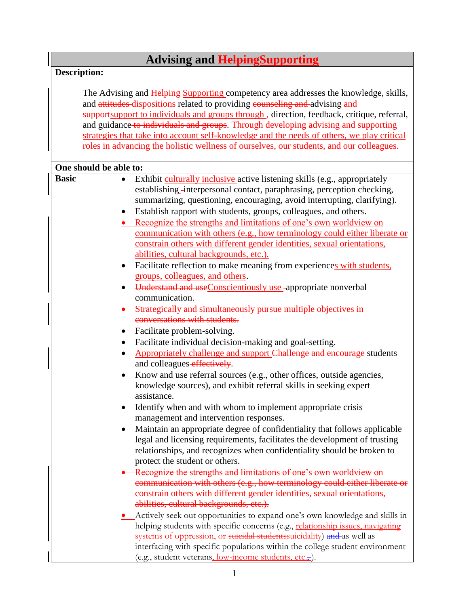## **Advising and HelpingSupporting**

## **Description:**

The Advising and Helping Supporting competency area addresses the knowledge, skills, and attitudes dispositions related to providing counseling and advising and supportsupport to individuals and groups through –direction, feedback, critique, referral, and guidance to individuals and groups. Through developing advising and supporting strategies that take into account self-knowledge and the needs of others, we play critical roles in advancing the holistic wellness of ourselves, our students, and our colleagues.

| One should be able to: |                                                                                                                                                                                                                                                                                                                                                                                                                                                                                                                                                                                                                                                                                    |
|------------------------|------------------------------------------------------------------------------------------------------------------------------------------------------------------------------------------------------------------------------------------------------------------------------------------------------------------------------------------------------------------------------------------------------------------------------------------------------------------------------------------------------------------------------------------------------------------------------------------------------------------------------------------------------------------------------------|
| <b>Basic</b>           | Exhibit culturally inclusive active listening skills (e.g., appropriately<br>٠<br>establishing_interpersonal contact, paraphrasing, perception checking,<br>summarizing, questioning, encouraging, avoid interrupting, clarifying).<br>Establish rapport with students, groups, colleagues, and others.<br>$\bullet$<br>Recognize the strengths and limitations of one's own worldview on<br>communication with others (e.g., how terminology could either liberate or<br>constrain others with different gender identities, sexual orientations,<br>abilities, cultural backgrounds, etc.).<br>Facilitate reflection to make meaning from experiences with students,<br>$\bullet$ |
|                        | groups, colleagues, and others.<br>Understand and useConscientiously use -appropriate nonverbal<br>$\bullet$<br>communication.                                                                                                                                                                                                                                                                                                                                                                                                                                                                                                                                                     |
|                        | Strategically and simultaneously pursue multiple objectives in<br>conversations with students.                                                                                                                                                                                                                                                                                                                                                                                                                                                                                                                                                                                     |
|                        | Facilitate problem-solving.<br>$\bullet$<br>Facilitate individual decision-making and goal-setting.<br>٠                                                                                                                                                                                                                                                                                                                                                                                                                                                                                                                                                                           |
|                        | Appropriately challenge and support Challenge and encourage students<br>٠<br>and colleagues-effectively.                                                                                                                                                                                                                                                                                                                                                                                                                                                                                                                                                                           |
|                        | Know and use referral sources (e.g., other offices, outside agencies,<br>$\bullet$<br>knowledge sources), and exhibit referral skills in seeking expert<br>assistance.                                                                                                                                                                                                                                                                                                                                                                                                                                                                                                             |
|                        | Identify when and with whom to implement appropriate crisis<br>$\bullet$<br>management and intervention responses.                                                                                                                                                                                                                                                                                                                                                                                                                                                                                                                                                                 |
|                        | Maintain an appropriate degree of confidentiality that follows applicable<br>٠<br>legal and licensing requirements, facilitates the development of trusting<br>relationships, and recognizes when confidentiality should be broken to<br>protect the student or others.                                                                                                                                                                                                                                                                                                                                                                                                            |
|                        | Recognize the strengths and limitations of one's own worldview on<br>communication with others (e.g., how terminology could either liberate or<br>constrain others with different gender identities, sexual orientations,<br>abilities, cultural backgrounds, etc.).                                                                                                                                                                                                                                                                                                                                                                                                               |
|                        | Actively seek out opportunities to expand one's own knowledge and skills in<br>helping students with specific concerns (e.g., relationship issues, navigating<br>systems of oppression, or suicidal students suicidality) and as well as<br>interfacing with specific populations within the college student environment<br>(e.g., student veterans, low-income students, etc.,).                                                                                                                                                                                                                                                                                                  |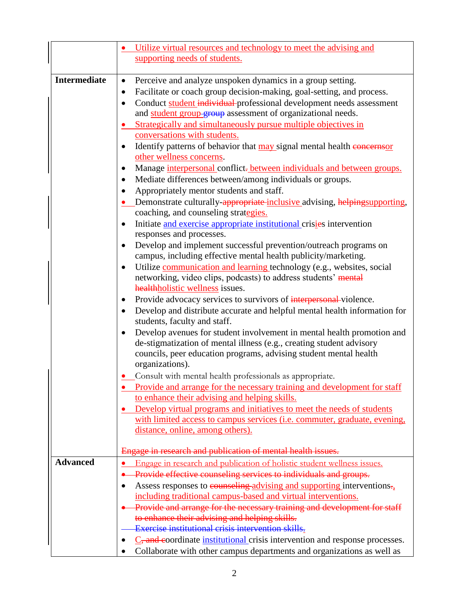|                     | Utilize virtual resources and technology to meet the advising and                                             |
|---------------------|---------------------------------------------------------------------------------------------------------------|
|                     | supporting needs of students.                                                                                 |
|                     |                                                                                                               |
| <b>Intermediate</b> | Perceive and analyze unspoken dynamics in a group setting.<br>$\bullet$                                       |
|                     | Facilitate or coach group decision-making, goal-setting, and process.<br>٠                                    |
|                     | Conduct student individual professional development needs assessment<br>$\bullet$                             |
|                     | and student group group assessment of organizational needs.                                                   |
|                     | Strategically and simultaneously pursue multiple objectives in                                                |
|                     | conversations with students.                                                                                  |
|                     | Identify patterns of behavior that may signal mental health concerns or                                       |
|                     | other wellness concerns.                                                                                      |
|                     | Manage interpersonal conflict-between individuals and between groups.                                         |
|                     | Mediate differences between/among individuals or groups.<br>٠                                                 |
|                     | Appropriately mentor students and staff.                                                                      |
|                     | Demonstrate culturally-appropriate-inclusive advising, helpingsupporting,                                     |
|                     | coaching, and counseling strategies.                                                                          |
|                     | Initiate and exercise appropriate institutional crisies intervention                                          |
|                     | responses and processes.                                                                                      |
|                     | Develop and implement successful prevention/outreach programs on                                              |
|                     | campus, including effective mental health publicity/marketing.                                                |
|                     | Utilize communication and learning technology (e.g., websites, social<br>$\bullet$                            |
|                     | networking, video clips, podcasts) to address students' mental                                                |
|                     | healthholistic wellness issues.                                                                               |
|                     | Provide advocacy services to survivors of interpersonal-violence.<br>$\bullet$                                |
|                     | Develop and distribute accurate and helpful mental health information for                                     |
|                     | students, faculty and staff.                                                                                  |
|                     | Develop avenues for student involvement in mental health promotion and                                        |
|                     | de-stigmatization of mental illness (e.g., creating student advisory                                          |
|                     | councils, peer education programs, advising student mental health                                             |
|                     | organizations).                                                                                               |
|                     | • Consult with mental health professionals as appropriate.                                                    |
|                     | Provide and arrange for the necessary training and development for staff                                      |
|                     | to enhance their advising and helping skills.                                                                 |
|                     | Develop virtual programs and initiatives to meet the needs of students                                        |
|                     | with limited access to campus services (i.e. commuter, graduate, evening,<br>distance, online, among others). |
|                     |                                                                                                               |
|                     | Engage in research and publication of mental health issues.                                                   |
| <b>Advanced</b>     | Engage in research and publication of holistic student wellness issues.                                       |
|                     | Provide effective counseling services to individuals and groups.                                              |
|                     | Assess responses to counseling advising and supporting interventions.<br>٠                                    |
|                     | including traditional campus-based and virtual interventions.                                                 |
|                     | Provide and arrange for the necessary training and development for staff                                      |
|                     | to enhance their advising and helping skills.                                                                 |
|                     | Exercise institutional crisis intervention skills.                                                            |
|                     | $\underline{C}$ , and coordinate institutional crisis intervention and response processes.                    |
|                     | Collaborate with other campus departments and organizations as well as                                        |